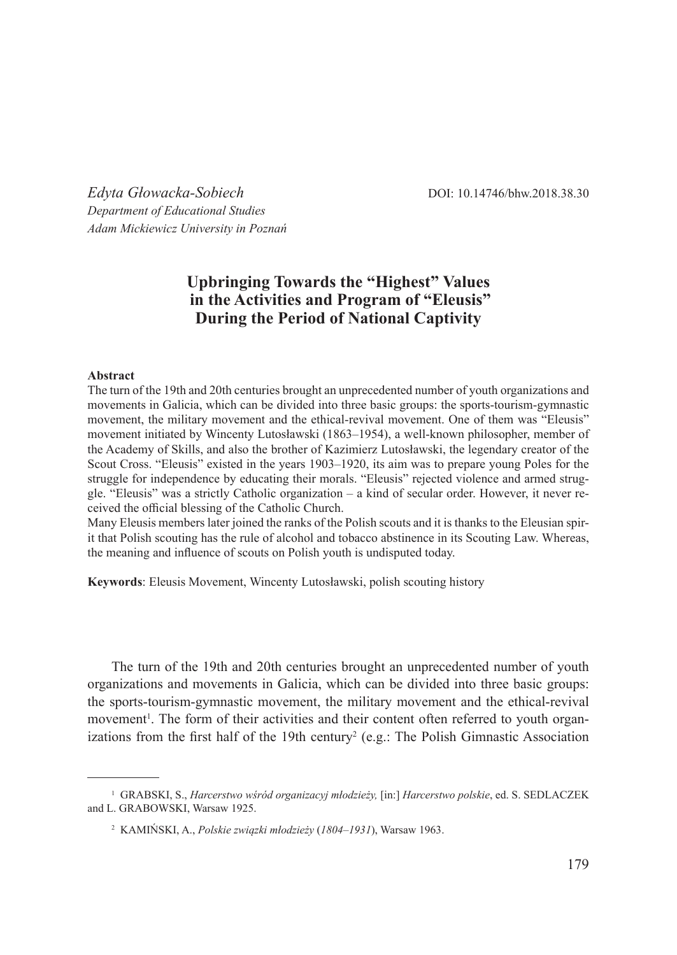*Edyta Głowacka-Sobiech* DOI: 10.14746/bhw.2018.38.30 *Department of Educational Studies Adam Mickiewicz University in Poznań*

## **Upbringing Towards the "Highest" Values in the Activities and Program of "Eleusis" During the Period of National Captivity**

## **Abstract**

The turn of the 19th and 20th centuries brought an unprecedented number of youth organizations and movements in Galicia, which can be divided into three basic groups: the sports-tourism-gymnastic movement, the military movement and the ethical-revival movement. One of them was "Eleusis" movement initiated by Wincenty Lutosławski (1863–1954), a well-known philosopher, member of the Academy of Skills, and also the brother of Kazimierz Lutosławski, the legendary creator of the Scout Cross. "Eleusis" existed in the years 1903–1920, its aim was to prepare young Poles for the struggle for independence by educating their morals. "Eleusis" rejected violence and armed struggle. "Eleusis" was a strictly Catholic organization – a kind of secular order. However, it never received the official blessing of the Catholic Church.

Many Eleusis members later joined the ranks of the Polish scouts and it is thanks to the Eleusian spirit that Polish scouting has the rule of alcohol and tobacco abstinence in its Scouting Law. Whereas, the meaning and influence of scouts on Polish youth is undisputed today.

**Keywords**: Eleusis Movement, Wincenty Lutosławski, polish scouting history

The turn of the 19th and 20th centuries brought an unprecedented number of youth organizations and movements in Galicia, which can be divided into three basic groups: the sports-tourism-gymnastic movement, the military movement and the ethical-revival movement<sup>1</sup>. The form of their activities and their content often referred to youth organizations from the first half of the 19th century<sup>2</sup> (e.g.: The Polish Gimnastic Association

<sup>1</sup> GRABSKI, S., *Harcerstwo wśród organizacyj młodzieży,* [in:] *Harcerstwo polskie*, ed. S. SEDLACZEK and L. GRABOWSKI, Warsaw 1925.

<sup>2</sup> KAMIŃSKI, A., *Polskie związki młodzieży* (*1804–1931*), Warsaw 1963.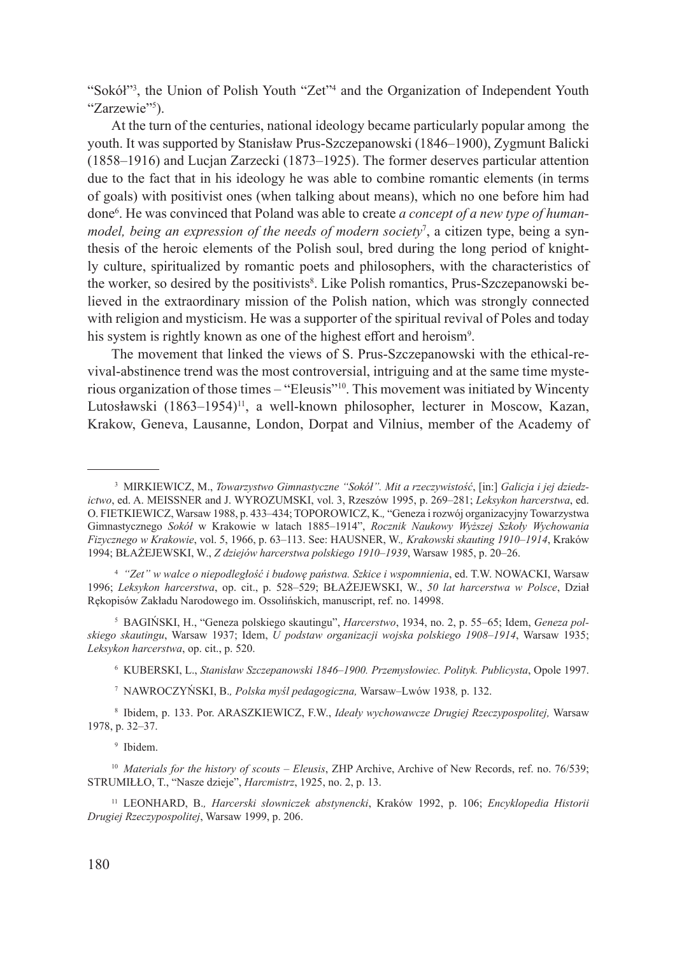"Sokół"<sup>3</sup>, the Union of Polish Youth "Zet<sup>"4</sup> and the Organization of Independent Youth "Zarzewie"<sup>5</sup>).

At the turn of the centuries, national ideology became particularly popular among the youth. It was supported by Stanisław Prus-Szczepanowski (1846–1900), Zygmunt Balicki (1858–1916) and Lucjan Zarzecki (1873–1925). The former deserves particular attention due to the fact that in his ideology he was able to combine romantic elements (in terms of goals) with positivist ones (when talking about means), which no one before him had done6 . He was convinced that Poland was able to create *a concept of a new type of humanmodel, being an expression of the needs of modern society*<sup>7</sup> , a citizen type, being a synthesis of the heroic elements of the Polish soul, bred during the long period of knightly culture, spiritualized by romantic poets and philosophers, with the characteristics of the worker, so desired by the positivists<sup>8</sup>. Like Polish romantics, Prus-Szczepanowski believed in the extraordinary mission of the Polish nation, which was strongly connected with religion and mysticism. He was a supporter of the spiritual revival of Poles and today his system is rightly known as one of the highest effort and heroism<sup>9</sup>.

The movement that linked the views of S. Prus-Szczepanowski with the ethical-revival-abstinence trend was the most controversial, intriguing and at the same time mysterious organization of those times – "Eleusis"<sup>10</sup>. This movement was initiated by Wincenty Lutosławski (1863–1954)<sup>11</sup>, a well-known philosopher, lecturer in Moscow, Kazan, Krakow, Geneva, Lausanne, London, Dorpat and Vilnius, member of the Academy of

<sup>4</sup> *"Zet" w walce o niepodległość i budowę państwa. Szkice i wspomnienia*, ed. T.W. NOWACKI, Warsaw 1996; *Leksykon harcerstwa*, op. cit., p. 528–529; BŁAŻEJEWSKI, W., *50 lat harcerstwa w Polsce*, Dział Rękopisów Zakładu Narodowego im. Ossolińskich, manuscript, ref. no. 14998.

<sup>5</sup> BAGIŃSKI, H., "Geneza polskiego skautingu", *Harcerstwo*, 1934, no. 2, p. 55–65; Idem, *Geneza polskiego skautingu*, Warsaw 1937; Idem, *U podstaw organizacji wojska polskiego 1908–1914*, Warsaw 1935; *Leksykon harcerstwa*, op. cit., p. 520.

<sup>6</sup> KUBERSKI, L., *Stanisław Szczepanowski 1846–1900. Przemysłowiec. Polityk. Publicysta*, Opole 1997.

<sup>7</sup> NAWROCZYŃSKI, B.*, Polska myśl pedagogiczna,* Warsaw–Lwów 1938*,* p. 132.

<sup>8</sup> Ibidem, p. 133. Por. ARASZKIEWICZ, F.W., *Ideały wychowawcze Drugiej Rzeczypospolitej,* Warsaw 1978, p. 32–37.

<sup>9</sup> Ibidem.

<sup>10</sup> *Materials for the history of scouts – Eleusis*, ZHP Archive, Archive of New Records, ref. no. 76/539; STRUMIŁŁO, T., "Nasze dzieje", *Harcmistrz*, 1925, no. 2, p. 13.

<sup>11</sup> LEONHARD, B.*, Harcerski słowniczek abstynencki*, Kraków 1992, p. 106; *Encyklopedia Historii Drugiej Rzeczypospolitej*, Warsaw 1999, p. 206.

180

<sup>3</sup> MIRKIEWICZ, M., *Towarzystwo Gimnastyczne "Sokół". Mit a rzeczywistość*, [in:] *Galicja i jej dziedzictwo*, ed. A. MEISSNER and J. WYROZUMSKI, vol. 3, Rzeszów 1995, p. 269–281; *Leksykon harcerstwa*, ed. O. FIETKIEWICZ, Warsaw 1988, p. 433–434; TOPOROWICZ, K.*,* "Geneza i rozwój organizacyjny Towarzystwa Gimnastycznego *Sokół* w Krakowie w latach 1885–1914", *Rocznik Naukowy Wyższej Szkoły Wychowania Fizycznego w Krakowie*, vol. 5, 1966, p. 63–113. See: HAUSNER, W.*, Krakowski skauting 1910–1914*, Kraków 1994; BŁAŻEJEWSKI, W., *Z dziejów harcerstwa polskiego 1910–1939*, Warsaw 1985, p. 20–26.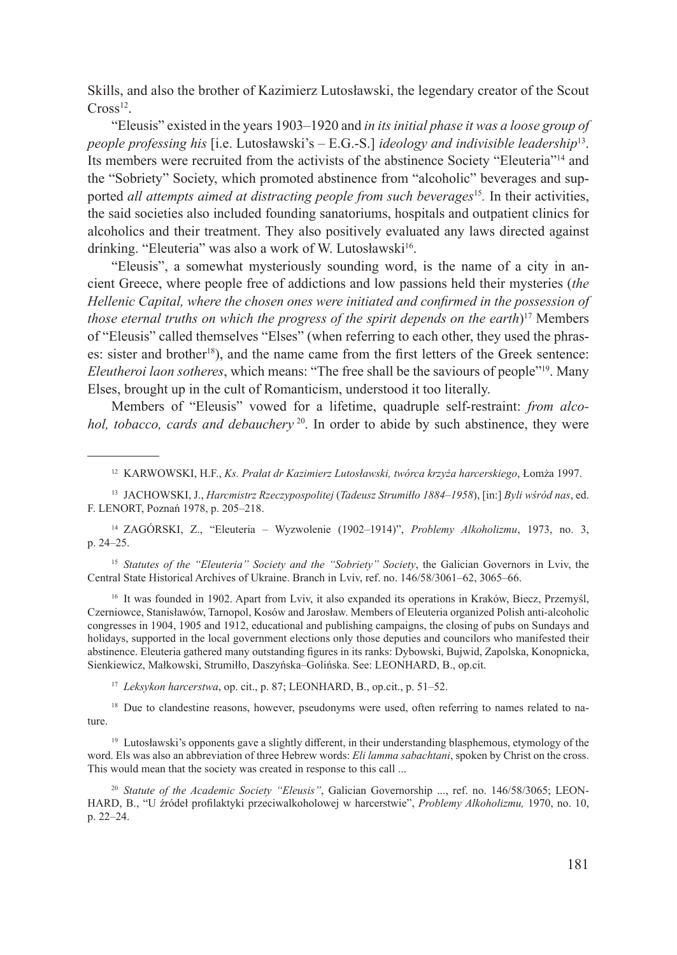Skills, and also the brother of Kazimierz Lutosławski, the legendary creator of the Scout  $Cross<sup>12</sup>$ .

"Eleusis" existed in the years 1903–1920 and *in its initial phase it was a loose group of people professing his* [i.e. Lutosławski's – E.G.-S.] *ideology and indivisible leadership*13. Its members were recruited from the activists of the abstinence Society "Eleuteria"14 and the "Sobriety" Society, which promoted abstinence from "alcoholic" beverages and supported *all attempts aimed at distracting people from such beverages*<sup>15</sup>*.* In their activities, the said societies also included founding sanatoriums, hospitals and outpatient clinics for alcoholics and their treatment. They also positively evaluated any laws directed against drinking. "Eleuteria" was also a work of W. Lutosławski<sup>16</sup>.

"Eleusis", a somewhat mysteriously sounding word, is the name of a city in ancient Greece, where people free of addictions and low passions held their mysteries (*the Hellenic Capital, where the chosen ones were initiated and confirmed in the possession of those eternal truths on which the progress of the spirit depends on the earth*) 17 Members of "Eleusis" called themselves "Elses" (when referring to each other, they used the phrases: sister and brother<sup>18</sup>), and the name came from the first letters of the Greek sentence: *Eleutheroi laon sotheres*, which means: "The free shall be the saviours of people"19. Many Elses, brought up in the cult of Romanticism, understood it too literally.

Members of "Eleusis" vowed for a lifetime, quadruple self-restraint: *from alcohol, tobacco, cards and debauchery*<sup>20</sup>. In order to abide by such abstinence, they were

<sup>14</sup> ZAGÓRSKI, Z., "Eleuteria – Wyzwolenie (1902–1914)", *Problemy Alkoholizmu*, 1973, no. 3, p. 24–25.

<sup>15</sup> *Statutes of the "Eleuteria" Society and the "Sobriety" Society*, the Galician Governors in Lviv, the Central State Historical Archives of Ukraine. Branch in Lviv, ref. no. 146/58/3061–62, 3065–66.

<sup>16</sup> It was founded in 1902. Apart from Lviv, it also expanded its operations in Kraków, Biecz, Przemyśl, Czerniowce, Stanisławów, Tarnopol, Kosów and Jarosław. Members of Eleuteria organized Polish anti-alcoholic congresses in 1904, 1905 and 1912, educational and publishing campaigns, the closing of pubs on Sundays and holidays, supported in the local government elections only those deputies and councilors who manifested their abstinence. Eleuteria gathered many outstanding figures in its ranks: Dybowski, Bujwid, Zapolska, Konopnicka, Sienkiewicz, Małkowski, Strumiłło, Daszyńska–Golińska. See: LEONHARD, B., op.cit.

<sup>17</sup> *Leksykon harcerstwa*, op. cit., p. 87; LEONHARD, B., op.cit., p. 51–52.

<sup>18</sup> Due to clandestine reasons, however, pseudonyms were used, often referring to names related to nature.

<sup>19</sup> Lutosławski's opponents gave a slightly different, in their understanding blasphemous, etymology of the word. Els was also an abbreviation of three Hebrew words: *Eli lamma sabachtani*, spoken by Christ on the cross. This would mean that the society was created in response to this call ...

<sup>20</sup> *Statute of the Academic Society "Eleusis"*, Galician Governorship ..., ref. no. 146/58/3065; LEON-HARD, B., "U źródeł profilaktyki przeciwalkoholowej w harcerstwie", *Problemy Alkoholizmu,* 1970, no. 10, p. 22–24.

<sup>12</sup> KARWOWSKI, H.F., *Ks. Prałat dr Kazimierz Lutosławski, twórca krzyża harcerskiego*, Łomża 1997.

<sup>13</sup> JACHOWSKI, J., *Harcmistrz Rzeczypospolitej* (*Tadeusz Strumiłło 1884–1958*), [in:] *Byli wśród nas*, ed. F. LENORT, Poznań 1978, p. 205–218.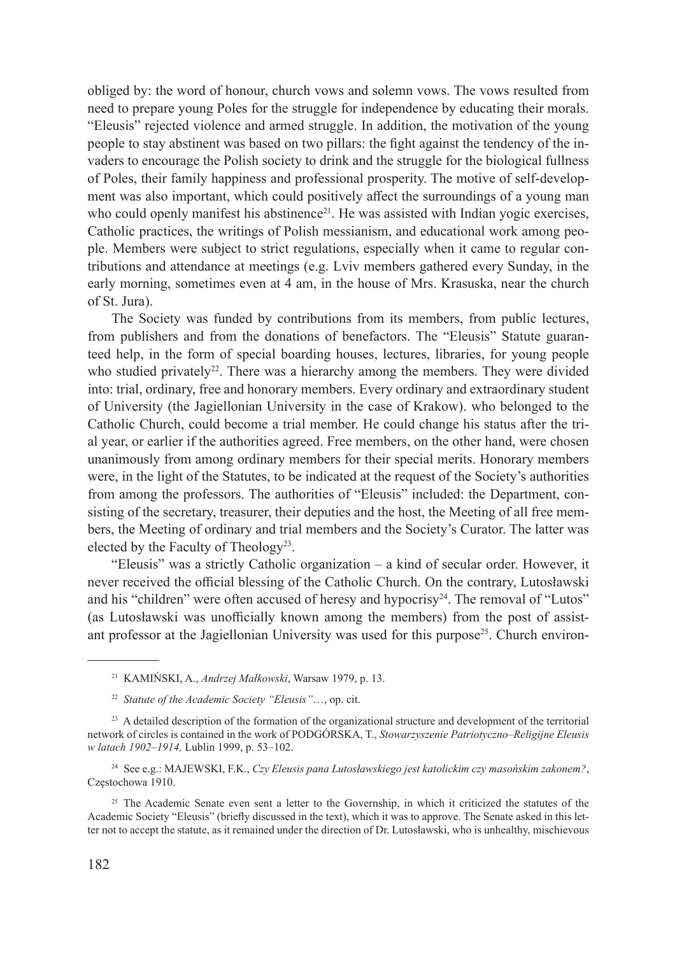obliged by: the word of honour, church vows and solemn vows. The vows resulted from need to prepare young Poles for the struggle for independence by educating their morals. "Eleusis" rejected violence and armed struggle. In addition, the motivation of the young people to stay abstinent was based on two pillars: the fight against the tendency of the invaders to encourage the Polish society to drink and the struggle for the biological fullness of Poles, their family happiness and professional prosperity. The motive of self-development was also important, which could positively affect the surroundings of a young man who could openly manifest his abstinence<sup>21</sup>. He was assisted with Indian yogic exercises, Catholic practices, the writings of Polish messianism, and educational work among people. Members were subject to strict regulations, especially when it came to regular contributions and attendance at meetings (e.g. Lviv members gathered every Sunday, in the early morning, sometimes even at 4 am, in the house of Mrs. Krasuska, near the church of St. Jura).

The Society was funded by contributions from its members, from public lectures, from publishers and from the donations of benefactors. The "Eleusis" Statute guaranteed help, in the form of special boarding houses, lectures, libraries, for young people who studied privately<sup>22</sup>. There was a hierarchy among the members. They were divided into: trial, ordinary, free and honorary members. Every ordinary and extraordinary student of University (the Jagiellonian University in the case of Krakow). who belonged to the Catholic Church, could become a trial member. He could change his status after the trial year, or earlier if the authorities agreed. Free members, on the other hand, were chosen unanimously from among ordinary members for their special merits. Honorary members were, in the light of the Statutes, to be indicated at the request of the Society's authorities from among the professors. The authorities of "Eleusis" included: the Department, consisting of the secretary, treasurer, their deputies and the host, the Meeting of all free members, the Meeting of ordinary and trial members and the Society's Curator. The latter was elected by the Faculty of Theology<sup>23</sup>.

"Eleusis" was a strictly Catholic organization – a kind of secular order. However, it never received the official blessing of the Catholic Church. On the contrary, Lutosławski and his "children" were often accused of heresy and hypocrisy<sup>24</sup>. The removal of "Lutos" (as Lutosławski was unofficially known among the members) from the post of assistant professor at the Jagiellonian University was used for this purpose25. Church environ-

<sup>21</sup> KAMIŃSKI, A., *Andrzej Małkowski*, Warsaw 1979, p. 13.

<sup>22</sup> *Statute of the Academic Society "Eleusis"*…, op. cit.

<sup>&</sup>lt;sup>23</sup> A detailed description of the formation of the organizational structure and development of the territorial network of circles is contained in the work of PODGÓRSKA, T., *Stowarzyszenie Patriotyczno–Religijne Eleusis w latach 1902–1914,* Lublin 1999, p. 53–102.

<sup>24</sup> See e.g.: MAJEWSKI, F.K., *Czy Eleusis pana Lutosławskiego jest katolickim czy masońskim zakonem?*, Częstochowa 1910.

<sup>&</sup>lt;sup>25</sup> The Academic Senate even sent a letter to the Governship, in which it criticized the statutes of the Academic Society "Eleusis" (briefly discussed in the text), which it was to approve. The Senate asked in this letter not to accept the statute, as it remained under the direction of Dr. Lutosławski, who is unhealthy, mischievous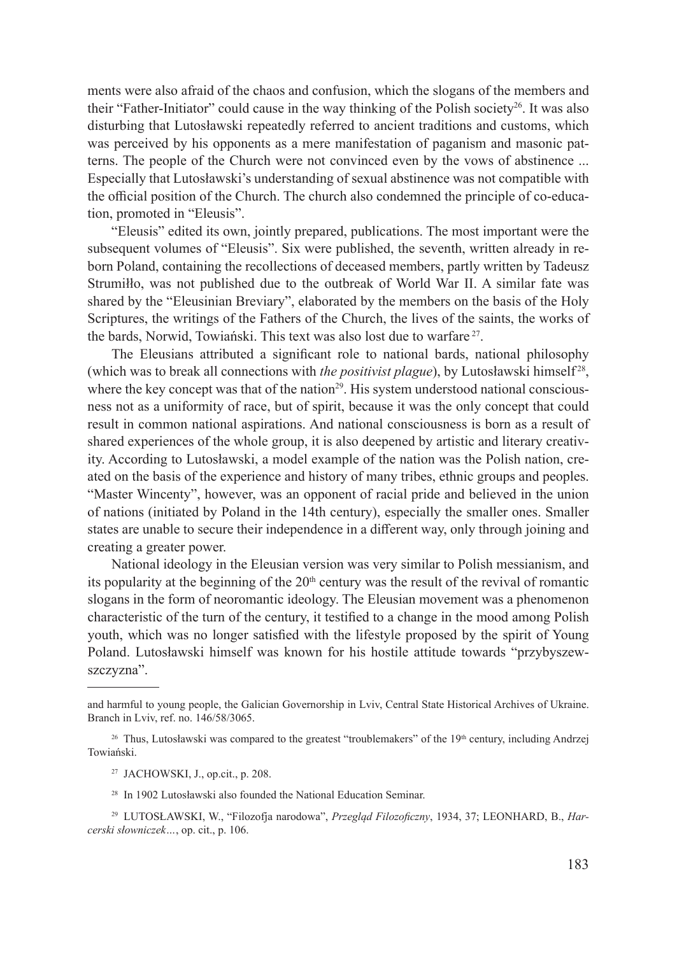ments were also afraid of the chaos and confusion, which the slogans of the members and their "Father-Initiator" could cause in the way thinking of the Polish society<sup>26</sup>. It was also disturbing that Lutosławski repeatedly referred to ancient traditions and customs, which was perceived by his opponents as a mere manifestation of paganism and masonic patterns. The people of the Church were not convinced even by the vows of abstinence ... Especially that Lutosławski's understanding of sexual abstinence was not compatible with the official position of the Church. The church also condemned the principle of co-education, promoted in "Eleusis".

"Eleusis" edited its own, jointly prepared, publications. The most important were the subsequent volumes of "Eleusis". Six were published, the seventh, written already in reborn Poland, containing the recollections of deceased members, partly written by Tadeusz Strumiłło, was not published due to the outbreak of World War II. A similar fate was shared by the "Eleusinian Breviary", elaborated by the members on the basis of the Holy Scriptures, the writings of the Fathers of the Church, the lives of the saints, the works of the bards, Norwid, Towiański. This text was also lost due to warfare<sup>27</sup>.

The Eleusians attributed a significant role to national bards, national philosophy (which was to break all connections with *the positivist plague*), by Lutosławski himself<sup>28</sup>, where the key concept was that of the nation $2<sup>9</sup>$ . His system understood national consciousness not as a uniformity of race, but of spirit, because it was the only concept that could result in common national aspirations. And national consciousness is born as a result of shared experiences of the whole group, it is also deepened by artistic and literary creativity. According to Lutosławski, a model example of the nation was the Polish nation, created on the basis of the experience and history of many tribes, ethnic groups and peoples. "Master Wincenty", however, was an opponent of racial pride and believed in the union of nations (initiated by Poland in the 14th century), especially the smaller ones. Smaller states are unable to secure their independence in a different way, only through joining and creating a greater power.

National ideology in the Eleusian version was very similar to Polish messianism, and its popularity at the beginning of the  $20<sup>th</sup>$  century was the result of the revival of romantic slogans in the form of neoromantic ideology. The Eleusian movement was a phenomenon characteristic of the turn of the century, it testified to a change in the mood among Polish youth, which was no longer satisfied with the lifestyle proposed by the spirit of Young Poland. Lutosławski himself was known for his hostile attitude towards "przybyszewszczyzna".

- <sup>27</sup> JACHOWSKI, J., op.cit., p. 208.
- <sup>28</sup> In 1902 Lutosławski also founded the National Education Seminar.
- <sup>29</sup> LUTOSŁAWSKI, W., "Filozofja narodowa", *Przegląd Filozoficzny*, 1934, 37; LEONHARD, B., *Harcerski słowniczek…*, op. cit., p. 106.

and harmful to young people, the Galician Governorship in Lviv, Central State Historical Archives of Ukraine. Branch in Lviv, ref. no. 146/58/3065.

<sup>&</sup>lt;sup>26</sup> Thus, Lutosławski was compared to the greatest "troublemakers" of the  $19<sup>th</sup>$  century, including Andrzej Towiański.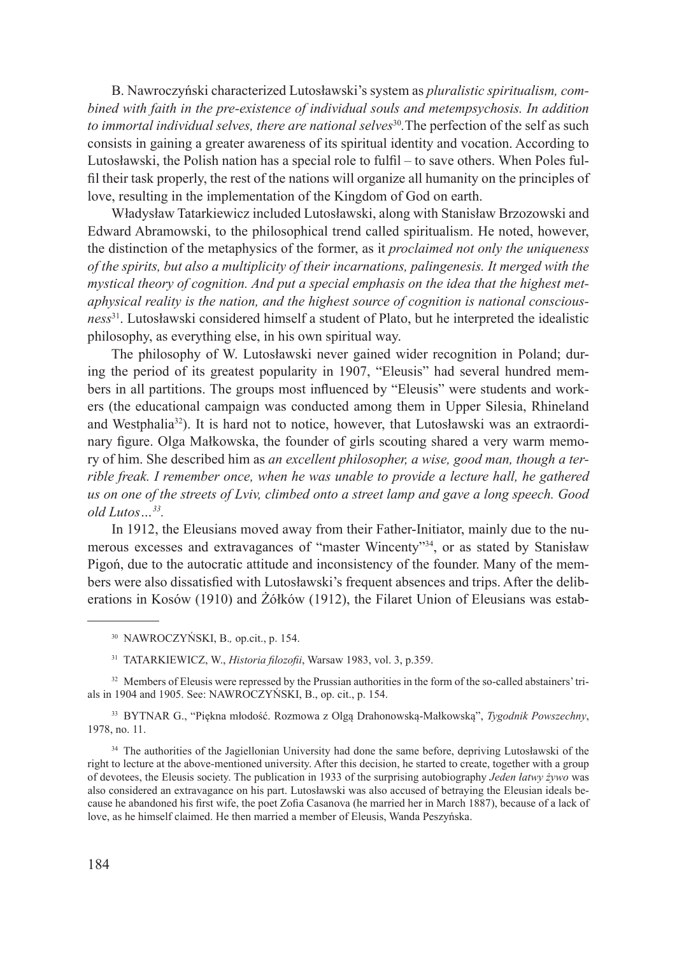B. Nawroczyński characterized Lutosławski's system as *pluralistic spiritualism, combined with faith in the pre-existence of individual souls and metempsychosis. In addition to immortal individual selves, there are national selves*<sup>30</sup>. The perfection of the self as such consists in gaining a greater awareness of its spiritual identity and vocation. According to Lutosławski, the Polish nation has a special role to fulfil – to save others. When Poles fulfil their task properly, the rest of the nations will organize all humanity on the principles of love, resulting in the implementation of the Kingdom of God on earth.

Władysław Tatarkiewicz included Lutosławski, along with Stanisław Brzozowski and Edward Abramowski, to the philosophical trend called spiritualism. He noted, however, the distinction of the metaphysics of the former, as it *proclaimed not only the uniqueness of the spirits, but also a multiplicity of their incarnations, palingenesis. It merged with the mystical theory of cognition. And put a special emphasis on the idea that the highest metaphysical reality is the nation, and the highest source of cognition is national consciousness*31. Lutosławski considered himself a student of Plato, but he interpreted the idealistic philosophy, as everything else, in his own spiritual way.

The philosophy of W. Lutosławski never gained wider recognition in Poland; during the period of its greatest popularity in 1907, "Eleusis" had several hundred members in all partitions. The groups most influenced by "Eleusis" were students and workers (the educational campaign was conducted among them in Upper Silesia, Rhineland and Westphalia<sup>32</sup>). It is hard not to notice, however, that Lutosławski was an extraordinary figure. Olga Małkowska, the founder of girls scouting shared a very warm memory of him. She described him as *an excellent philosopher, a wise, good man, though a terrible freak. I remember once, when he was unable to provide a lecture hall, he gathered us on one of the streets of Lviv, climbed onto a street lamp and gave a long speech. Good old Lutos…33.*

In 1912, the Eleusians moved away from their Father-Initiator, mainly due to the numerous excesses and extravagances of "master Wincenty"34, or as stated by Stanisław Pigoń, due to the autocratic attitude and inconsistency of the founder. Many of the members were also dissatisfied with Lutosławski's frequent absences and trips. After the deliberations in Kosów (1910) and Żółków (1912), the Filaret Union of Eleusians was estab-

<sup>32</sup> Members of Eleusis were repressed by the Prussian authorities in the form of the so-called abstainers' trials in 1904 and 1905. See: NAWROCZYŃSKI, B., op. cit., p. 154.

<sup>33</sup> BYTNAR G., "Piękna młodość. Rozmowa z Olgą Drahonowską-Małkowską", *Tygodnik Powszechny*, 1978, no. 11.

<sup>34</sup> The authorities of the Jagiellonian University had done the same before, depriving Lutosławski of the right to lecture at the above-mentioned university. After this decision, he started to create, together with a group of devotees, the Eleusis society. The publication in 1933 of the surprising autobiography *Jeden łatwy żywo* was also considered an extravagance on his part. Lutosławski was also accused of betraying the Eleusian ideals because he abandoned his first wife, the poet Zofia Casanova (he married her in March 1887), because of a lack of love, as he himself claimed. He then married a member of Eleusis, Wanda Peszyńska.

<sup>30</sup> NAWROCZYŃSKI, B.*,* op.cit., p. 154.

<sup>31</sup> TATARKIEWICZ, W., *Historia filozofii*, Warsaw 1983, vol. 3, p.359.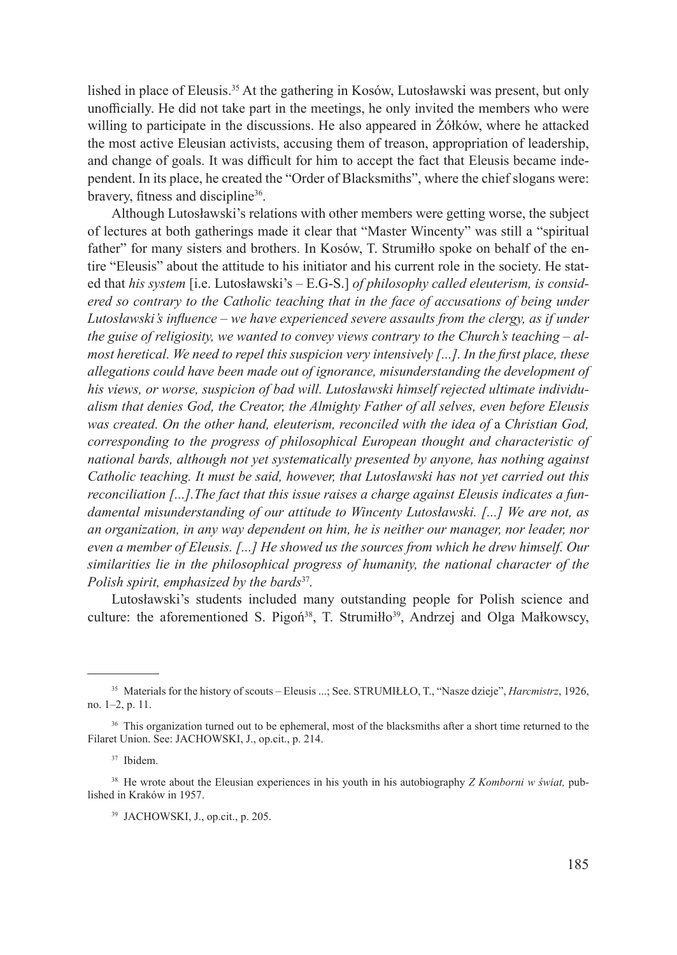lished in place of Eleusis.35 At the gathering in Kosów, Lutosławski was present, but only unofficially. He did not take part in the meetings, he only invited the members who were willing to participate in the discussions. He also appeared in Żółków, where he attacked the most active Eleusian activists, accusing them of treason, appropriation of leadership, and change of goals. It was difficult for him to accept the fact that Eleusis became independent. In its place, he created the "Order of Blacksmiths", where the chief slogans were: bravery, fitness and discipline<sup>36</sup>.

Although Lutosławski's relations with other members were getting worse, the subject of lectures at both gatherings made it clear that "Master Wincenty" was still a "spiritual father" for many sisters and brothers. In Kosów, T. Strumiłło spoke on behalf of the entire "Eleusis" about the attitude to his initiator and his current role in the society. He stated that *his system* [i.e. Lutosławski's – E.G-S.] *of philosophy called eleuterism, is considered so contrary to the Catholic teaching that in the face of accusations of being under Lutosławski's influence – we have experienced severe assaults from the clergy, as if under the guise of religiosity, we wanted to convey views contrary to the Church's teaching – almost heretical. We need to repel this suspicion very intensively [...]. In the first place, these allegations could have been made out of ignorance, misunderstanding the development of his views, or worse, suspicion of bad will. Lutosławski himself rejected ultimate individualism that denies God, the Creator, the Almighty Father of all selves, even before Eleusis*  was created. On the other hand, eleuterism, reconciled with the idea of a Christian God, *corresponding to the progress of philosophical European thought and characteristic of national bards, although not yet systematically presented by anyone, has nothing against Catholic teaching. It must be said, however, that Lutosławski has not yet carried out this reconciliation [...].The fact that this issue raises a charge against Eleusis indicates a fundamental misunderstanding of our attitude to Wincenty Lutosławski. [...] We are not, as an organization, in any way dependent on him, he is neither our manager, nor leader, nor even a member of Eleusis. [...] He showed us the sources from which he drew himself. Our similarities lie in the philosophical progress of humanity, the national character of the Polish spirit, emphasized by the bards*<sup>37</sup>*.* 

Lutosławski's students included many outstanding people for Polish science and culture: the aforementioned S. Pigoń<sup>38</sup>, T. Strumiłło<sup>39</sup>, Andrzej and Olga Małkowscy,

<sup>35</sup> Materials for the history of scouts – Eleusis ...; See. STRUMIŁŁO, T., "Nasze dzieje", *Harcmistrz*, 1926, no. 1–2, p. 11.

<sup>&</sup>lt;sup>36</sup> This organization turned out to be ephemeral, most of the blacksmiths after a short time returned to the Filaret Union. See: JACHOWSKI, J., op.cit., p. 214.

<sup>37</sup> Ibidem.

<sup>38</sup> He wrote about the Eleusian experiences in his youth in his autobiography *Z Komborni w świat,* published in Kraków in 1957.

<sup>39</sup> JACHOWSKI, J., op.cit., p. 205.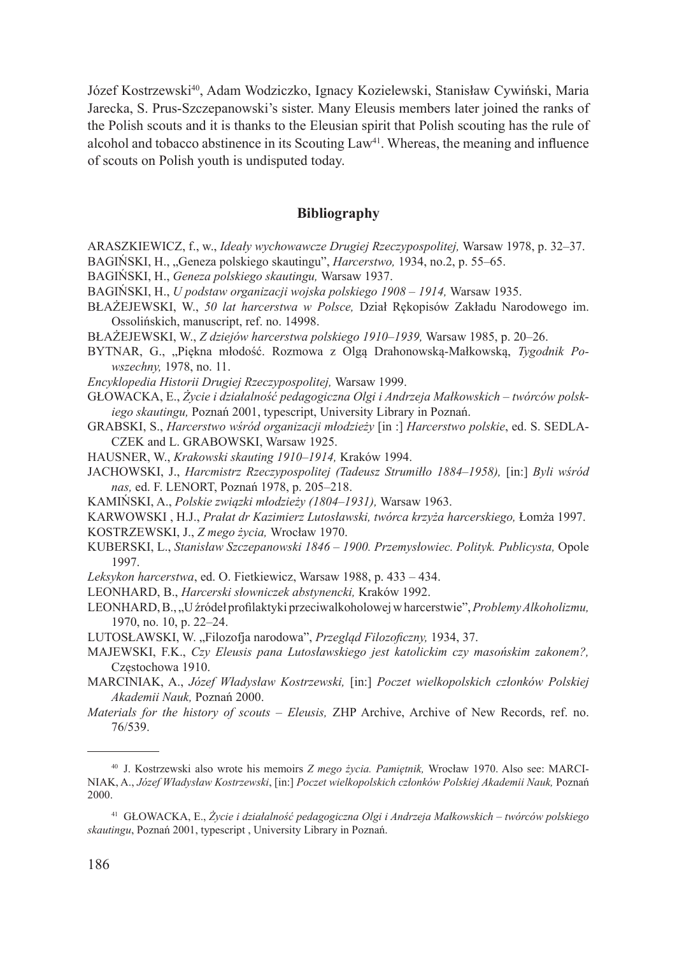Józef Kostrzewski<sup>40</sup>, Adam Wodziczko, Ignacy Kozielewski, Stanisław Cywiński, Maria Jarecka, S. Prus-Szczepanowski's sister. Many Eleusis members later joined the ranks of the Polish scouts and it is thanks to the Eleusian spirit that Polish scouting has the rule of alcohol and tobacco abstinence in its Scouting  $Law<sup>41</sup>$ . Whereas, the meaning and influence of scouts on Polish youth is undisputed today.

## **Bibliography**

- ARASZKIEWICZ, f., w., *Ideały wychowawcze Drugiej Rzeczypospolitej,* Warsaw 1978, p. 32–37.
- BAGIŃSKI, H., "Geneza polskiego skautingu", *Harcerstwo*, 1934, no.2, p. 55–65.
- BAGIŃSKI, H., *Geneza polskiego skautingu,* Warsaw 1937.
- BAGIŃSKI, H., *U podstaw organizacji wojska polskiego 1908 1914,* Warsaw 1935.
- BŁAŻEJEWSKI, W., *50 lat harcerstwa w Polsce,* Dział Rękopisów Zakładu Narodowego im. Ossolińskich, manuscript, ref. no. 14998.
- BŁAŻEJEWSKI, W., *Z dziejów harcerstwa polskiego 1910–1939,* Warsaw 1985, p. 20–26.
- BYTNAR, G., "Piękna młodość. Rozmowa z Olgą Drahonowską-Małkowską, *Tygodnik Powszechny,* 1978, no. 11.
- *Encyklopedia Historii Drugiej Rzeczypospolitej,* Warsaw 1999.
- GŁOWACKA, E., *Życie i działalność pedagogiczna Olgi i Andrzeja Małkowskich twórców polskiego skautingu,* Poznań 2001, typescript, University Library in Poznań.
- GRABSKI, S., *Harcerstwo wśród organizacji młodzieży* [in :] *Harcerstwo polskie*, ed. S. SEDLA-CZEK and L. GRABOWSKI, Warsaw 1925.
- HAUSNER, W., *Krakowski skauting 1910–1914,* Kraków 1994.
- JACHOWSKI, J., *Harcmistrz Rzeczypospolitej (Tadeusz Strumiłło 1884–1958),* [in:] *Byli wśród nas,* ed. F. LENORT, Poznań 1978, p. 205–218.
- KAMIŃSKI, A., *Polskie związki młodzieży (1804–1931),* Warsaw 1963.
- KARWOWSKI , H.J., *Prałat dr Kazimierz Lutosławski, twórca krzyża harcerskiego,* Łomża 1997.
- KOSTRZEWSKI, J., *Z mego życia,* Wrocław 1970.
- KUBERSKI, L., *Stanisław Szczepanowski 1846 1900. Przemysłowiec. Polityk. Publicysta,* Opole 1997.

*Leksykon harcerstwa*, ed. O. Fietkiewicz, Warsaw 1988, p. 433 – 434.

- LEONHARD, B., *Harcerski słowniczek abstynencki,* Kraków 1992.
- LEONHARD, B., "U źródeł profilaktyki przeciwalkoholowej w harcerstwie", *Problemy Alkoholizmu,*  1970, no. 10, p. 22–24.
- LUTOSŁAWSKI, W. "Filozofja narodowa", Przegląd Filozoficzny, 1934, 37.
- MAJEWSKI, F.K., *Czy Eleusis pana Lutosławskiego jest katolickim czy masońskim zakonem?,*  Częstochowa 1910.
- MARCINIAK, A., *Józef Władysław Kostrzewski,* [in:] *Poczet wielkopolskich członków Polskiej Akademii Nauk,* Poznań 2000.
- *Materials for the history of scouts Eleusis,* ZHP Archive, Archive of New Records, ref. no. 76/539.

<sup>40</sup> J. Kostrzewski also wrote his memoirs *Z mego życia. Pamiętnik,* Wrocław 1970. Also see: MARCI-NIAK, A., *Józef Władysław Kostrzewski*, [in:] *Poczet wielkopolskich członków Polskiej Akademii Nauk,* Poznań 2000.

<sup>41</sup> GŁOWACKA, E., *Życie i działalność pedagogiczna Olgi i Andrzeja Małkowskich – twórców polskiego skautingu*, Poznań 2001, typescript , University Library in Poznań.